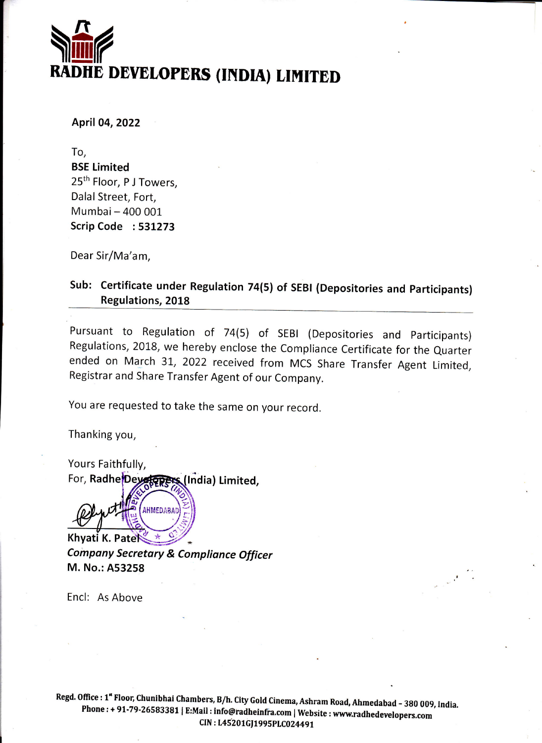# $\sum_{\text{RADHE}}$ RADHE DEVELOPERS (INDIA) LIMITED

April 04,2022

To, BSE Limited 25<sup>th</sup> Floor, PJ Towers, Dalal Street, Fort, Mumbai- 400 001 Scrip Code : 531273

Dear Sir/Ma'am,

Sub: Certificate under Regulation 74(5) of SEBI (Depositories and Participants) Regulations, 2018

Pursuant to Regulation of 74(5) of SEBI (Depositories and participants) Regulations, 2018, we hereby enclose the Compliance Certificate for the Quarter ended on March 31, 2022 received from MCS Share Transfer Agent Limited, Registrar and Share Transfer Agent of our Company.

You are requested to take the same on your record.

Thanking you,

For, Radhe Dey Forers (India) Limited, Yours Faithfully, **y**,<br>**EFERS IS (1)**<br>CAHMEDABAD

Khyati K. Pate Company Secretary & Compliance Officer M. No.: A53258  $\frac{1}{2}$ 

Encl: As Above

Regd. Office : 1" Floor, Chunibhai Chambers, B/h. City Gold Cinema, Ashram Road, Ahmedabad - 380 009, India.<br>Phone : + 91-79-26583381 | E:Mail : info@radheinfra.com | Website : www.radhedevelopers.com CIN: L45201GJ1995PLC024491